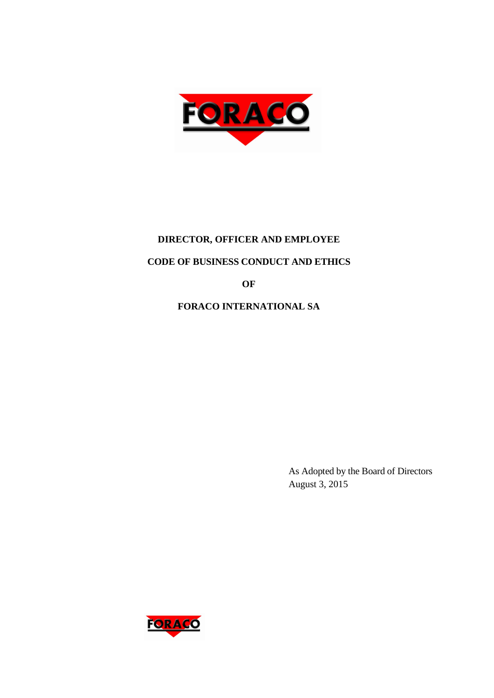

# **DIRECTOR, OFFICER AND EMPLOYEE**

# **CODE OF BUSINESS CONDUCT AND ETHICS**

**OF** 

**FORACO INTERNATIONAL SA** 

As Adopted by the Board of Directors August 3, 2015

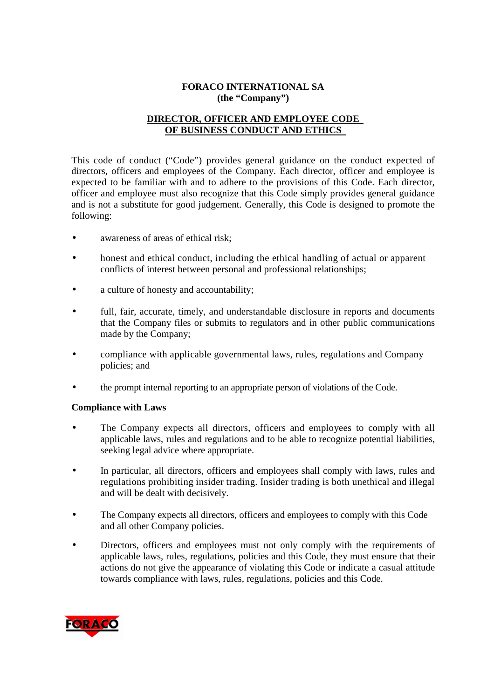# **FORACO INTERNATIONAL SA (the "Company")**

# **DIRECTOR, OFFICER AND EMPLOYEE CODE OF BUSINESS CONDUCT AND ETHICS**

This code of conduct ("Code") provides general guidance on the conduct expected of directors, officers and employees of the Company. Each director, officer and employee is expected to be familiar with and to adhere to the provisions of this Code. Each director, officer and employee must also recognize that this Code simply provides general guidance and is not a substitute for good judgement. Generally, this Code is designed to promote the following:

- awareness of areas of ethical risk;
- honest and ethical conduct, including the ethical handling of actual or apparent conflicts of interest between personal and professional relationships;
- a culture of honesty and accountability;
- full, fair, accurate, timely, and understandable disclosure in reports and documents that the Company files or submits to regulators and in other public communications made by the Company;
- compliance with applicable governmental laws, rules, regulations and Company policies; and
- the prompt internal reporting to an appropriate person of violations of the Code.

#### **Compliance with Laws**

- The Company expects all directors, officers and employees to comply with all applicable laws, rules and regulations and to be able to recognize potential liabilities, seeking legal advice where appropriate.
- In particular, all directors, officers and employees shall comply with laws, rules and regulations prohibiting insider trading. Insider trading is both unethical and illegal and will be dealt with decisively.
- The Company expects all directors, officers and employees to comply with this Code and all other Company policies.
- Directors, officers and employees must not only comply with the requirements of applicable laws, rules, regulations, policies and this Code, they must ensure that their actions do not give the appearance of violating this Code or indicate a casual attitude towards compliance with laws, rules, regulations, policies and this Code.

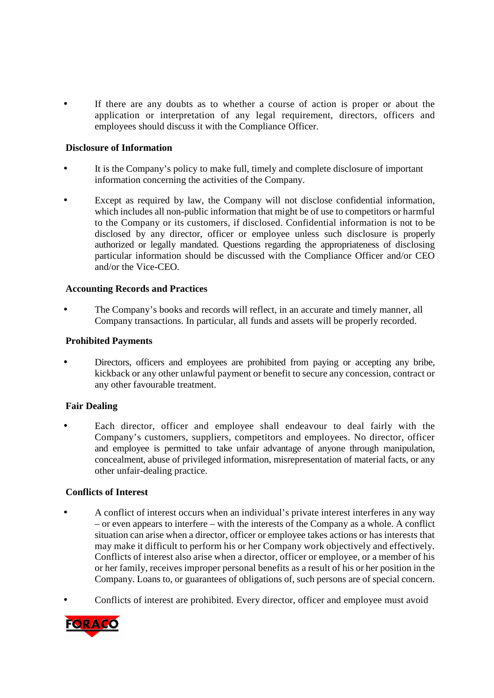If there are any doubts as to whether a course of action is proper or about the application or interpretation of any legal requirement, directors, officers and employees should discuss it with the Compliance Officer.

#### **Disclosure of Information**

- It is the Company's policy to make full, timely and complete disclosure of important information concerning the activities of the Company.
- Except as required by law, the Company will not disclose confidential information, which includes all non-public information that might be of use to competitors or harmful to the Company or its customers, if disclosed. Confidential information is not to be disclosed by any director, officer or employee unless such disclosure is properly authorized or legally mandated. Questions regarding the appropriateness of disclosing particular information should be discussed with the Compliance Officer and/or CEO and/or the Vice-CEO.

#### **Accounting Records and Practices**

• The Company's books and records will reflect, in an accurate and timely manner, all Company transactions. In particular, all funds and assets will be properly recorded.

#### **Prohibited Payments**

• Directors, officers and employees are prohibited from paying or accepting any bribe, kickback or any other unlawful payment or benefit to secure any concession, contract or any other favourable treatment.

#### **Fair Dealing**

Each director, officer and employee shall endeavour to deal fairly with the Company's customers, suppliers, competitors and employees. No director, officer and employee is permitted to take unfair advantage of anyone through manipulation, concealment, abuse of privileged information, misrepresentation of material facts, or any other unfair-dealing practice.

#### **Conflicts of Interest**

- A conflict of interest occurs when an individual's private interest interferes in any way – or even appears to interfere – with the interests of the Company as a whole. A conflict situation can arise when a director, officer or employee takes actions or has interests that may make it difficult to perform his or her Company work objectively and effectively. Conflicts of interest also arise when a director, officer or employee, or a member of his or her family, receives improper personal benefits as a result of his or her position in the Company. Loans to, or guarantees of obligations of, such persons are of special concern.
- Conflicts of interest are prohibited. Every director, officer and employee must avoid

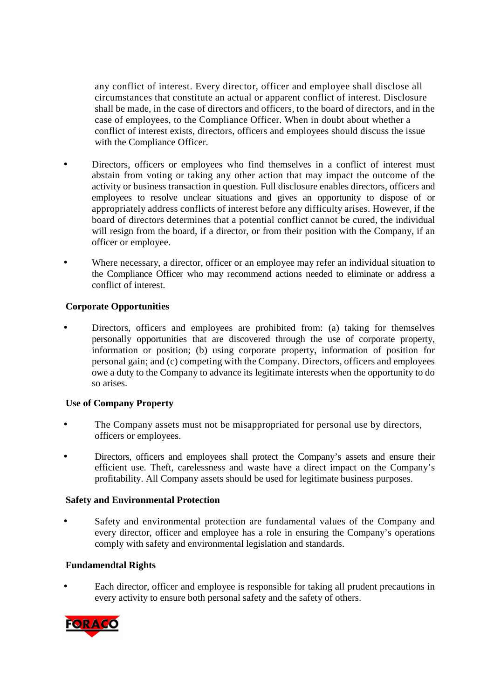any conflict of interest. Every director, officer and employee shall disclose all circumstances that constitute an actual or apparent conflict of interest. Disclosure shall be made, in the case of directors and officers, to the board of directors, and in the case of employees, to the Compliance Officer. When in doubt about whether a conflict of interest exists, directors, officers and employees should discuss the issue with the Compliance Officer.

- Directors, officers or employees who find themselves in a conflict of interest must abstain from voting or taking any other action that may impact the outcome of the activity or business transaction in question. Full disclosure enables directors, officers and employees to resolve unclear situations and gives an opportunity to dispose of or appropriately address conflicts of interest before any difficulty arises. However, if the board of directors determines that a potential conflict cannot be cured, the individual will resign from the board, if a director, or from their position with the Company, if an officer or employee.
- Where necessary, a director, officer or an employee may refer an individual situation to the Compliance Officer who may recommend actions needed to eliminate or address a conflict of interest.

# **Corporate Opportunities**

• Directors, officers and employees are prohibited from: (a) taking for themselves personally opportunities that are discovered through the use of corporate property, information or position; (b) using corporate property, information of position for personal gain; and (c) competing with the Company. Directors, officers and employees owe a duty to the Company to advance its legitimate interests when the opportunity to do so arises.

#### **Use of Company Property**

- The Company assets must not be misappropriated for personal use by directors, officers or employees.
- Directors, officers and employees shall protect the Company's assets and ensure their efficient use. Theft, carelessness and waste have a direct impact on the Company's profitability. All Company assets should be used for legitimate business purposes.

#### **Safety and Environmental Protection**

Safety and environmental protection are fundamental values of the Company and every director, officer and employee has a role in ensuring the Company's operations comply with safety and environmental legislation and standards.

#### **Fundamendtal Rights**

• Each director, officer and employee is responsible for taking all prudent precautions in every activity to ensure both personal safety and the safety of others.

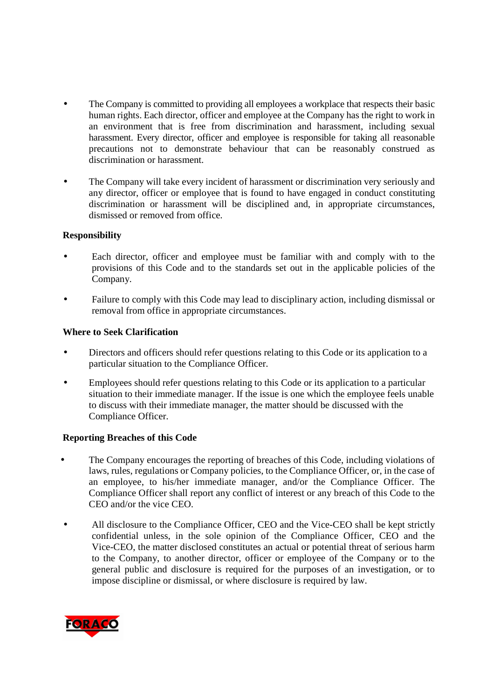- The Company is committed to providing all employees a workplace that respects their basic human rights. Each director, officer and employee at the Company has the right to work in an environment that is free from discrimination and harassment, including sexual harassment. Every director, officer and employee is responsible for taking all reasonable precautions not to demonstrate behaviour that can be reasonably construed as discrimination or harassment.
- The Company will take every incident of harassment or discrimination very seriously and any director, officer or employee that is found to have engaged in conduct constituting discrimination or harassment will be disciplined and, in appropriate circumstances, dismissed or removed from office.

#### **Responsibility**

- Each director, officer and employee must be familiar with and comply with to the provisions of this Code and to the standards set out in the applicable policies of the Company.
- Failure to comply with this Code may lead to disciplinary action, including dismissal or removal from office in appropriate circumstances.

# **Where to Seek Clarification**

- Directors and officers should refer questions relating to this Code or its application to a particular situation to the Compliance Officer.
- Employees should refer questions relating to this Code or its application to a particular situation to their immediate manager. If the issue is one which the employee feels unable to discuss with their immediate manager, the matter should be discussed with the Compliance Officer.

# **Reporting Breaches of this Code**

- The Company encourages the reporting of breaches of this Code, including violations of laws, rules, regulations or Company policies, to the Compliance Officer, or, in the case of an employee, to his/her immediate manager, and/or the Compliance Officer. The Compliance Officer shall report any conflict of interest or any breach of this Code to the CEO and/or the vice CEO.
- All disclosure to the Compliance Officer, CEO and the Vice-CEO shall be kept strictly confidential unless, in the sole opinion of the Compliance Officer, CEO and the Vice-CEO, the matter disclosed constitutes an actual or potential threat of serious harm to the Company, to another director, officer or employee of the Company or to the general public and disclosure is required for the purposes of an investigation, or to impose discipline or dismissal, or where disclosure is required by law.